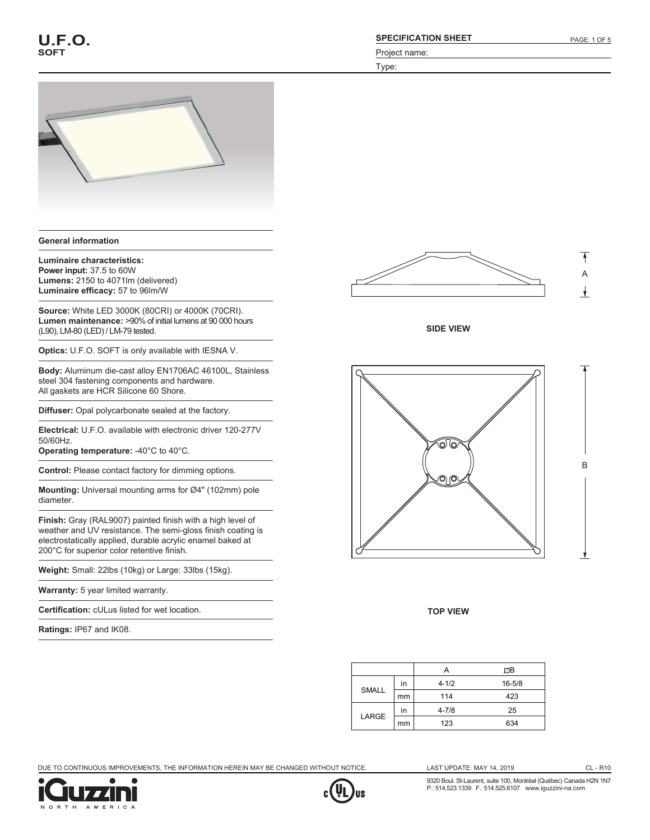

#### **General information**

**Luminaire characteristics: Power input:** 37.5 to 60W **Lumens:** 2150 to 4071lm (delivered) **Luminaire efficacy:** 57 to 96lm/W

**Source:** White LED 3000K (80CRI) or 4000K (70CRI). **Lumen maintenance:** >90% of initial lumens at 90 000 hours (L90), LM-80 (LED) / LM-79 tested.

**Optics:** U.F.O. SOFT is only available with IESNA V.

**Body:** Aluminum die-cast alloy EN1706AC 46100L, Stainless steel 304 fastening components and hardware. All gaskets are HCR Silicone 60 Shore.

**Diffuser:** Opal polycarbonate sealed at the factory.

**Electrical:** U.F.O. available with electronic driver 120-277V 50/60Hz.

**Operating temperature:** -40°C to 40°C.

**Control:** Please contact factory for dimming options.

**Mounting:** Universal mounting arms for Ø4" (102mm) pole diameter.

**Finish:** Gray (RAL9007) painted finish with a high level of weather and UV resistance. The semi-gloss finish coating is electrostatically applied, durable acrylic enamel baked at 200°C for superior color retentive finish.

**Weight:** Small: 22lbs (10kg) or Large: 33lbs (15kg).

**Warranty:** 5 year limited warranty.

**Certification:** cULus listed for wet location.

**Ratings:** IP67 and IK08.







**TOP VIEW**

|              |    | A         | ØΒ         |
|--------------|----|-----------|------------|
| <b>SMALL</b> | in | $4 - 1/2$ | $16 - 5/8$ |
|              | mm | 114       | 423        |
| LARGE        | in | $4 - 7/8$ | 25         |
|              | mm | 123       | 634        |

DUE TO CONTINUOUS IMPROVEMENTS, THE INFORMATION HEREIN MAY BE CHANGED WITHOUT NOTICE.





LAST UPDATE: MAY 14, 2019 CL - R10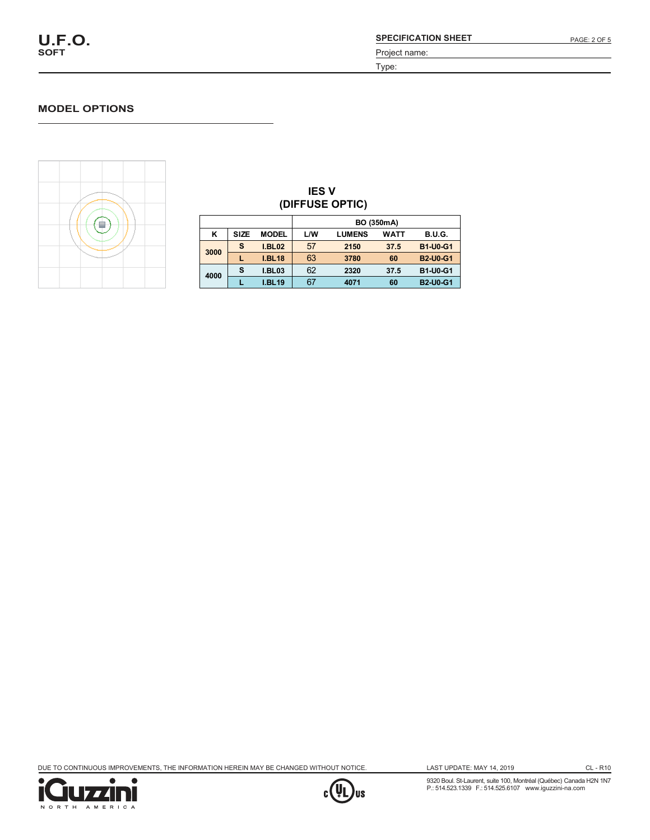#### **MODEL OPTIONS**



| <b>IES V</b><br>(DIFFUSE OPTIC) |                   |               |     |               |      |                 |  |
|---------------------------------|-------------------|---------------|-----|---------------|------|-----------------|--|
|                                 | <b>BO (350mA)</b> |               |     |               |      |                 |  |
| κ                               | <b>SIZE</b>       | <b>MODEL</b>  | L/W | <b>LUMENS</b> | WATT | <b>B.U.G.</b>   |  |
| 3000                            | s                 | <b>I.BL02</b> | 57  | 2150          | 37.5 | <b>B1-U0-G1</b> |  |
|                                 |                   | <b>I.BL18</b> | 63  | 3780          | 60   | <b>B2-U0-G1</b> |  |
| 4000                            | s                 | <b>I.BL03</b> | 62  | 2320          | 37.5 | <b>B1-U0-G1</b> |  |
|                                 |                   | <b>I.BL19</b> | 67  | 4071          | 60   | <b>B2-U0-G1</b> |  |

DUE TO CONTINUOUS IMPROVEMENTS, THE INFORMATION HEREIN MAY BE CHANGED WITHOUT NOTICE.

**4000**





LAST UPDATE: MAY 14, 2019

CL - R10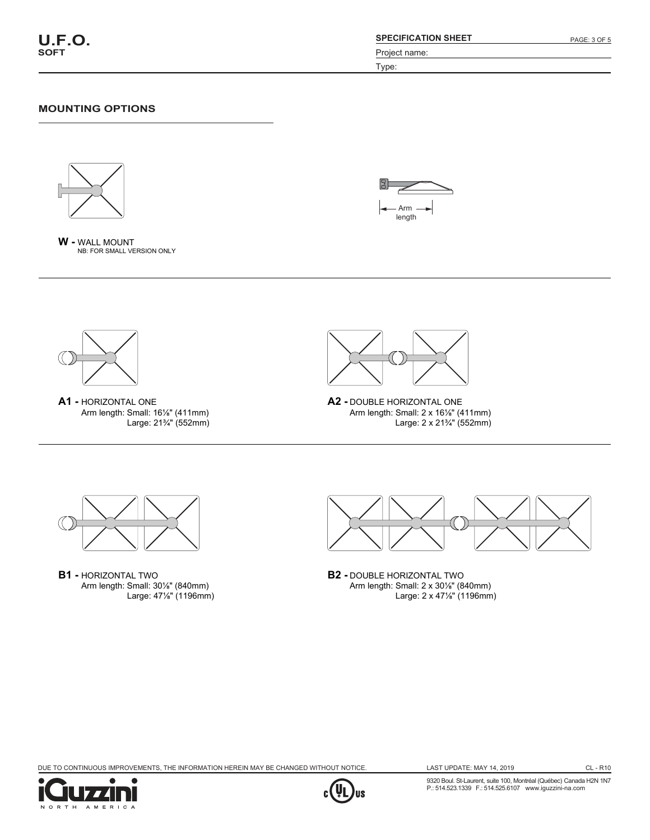Type:

### **MOUNTING OPTIONS**









**A1 -** HORIZONTAL ONE Arm length: Small: 16⅛" (411mm) Large: 21¾" (552mm)



```
A2 - DOUBLE HORIZONTAL ONE
Arm length: Small: 2 x 16⅛" (411mm)
           Large: 2 x 21¾" (552mm)
```


**B1 -** HORIZONTAL TWO Arm length: Small: 30⅛" (840mm) Large: 47⅛" (1196mm)



**B2 -** DOUBLE HORIZONTAL TWO Arm length: Small: 2 x 30⅛" (840mm) Large: 2 x 47⅛" (1196mm)

DUE TO CONTINUOUS IMPROVEMENTS, THE INFORMATION HEREIN MAY BE CHANGED WITHOUT NOTICE.





CL - R10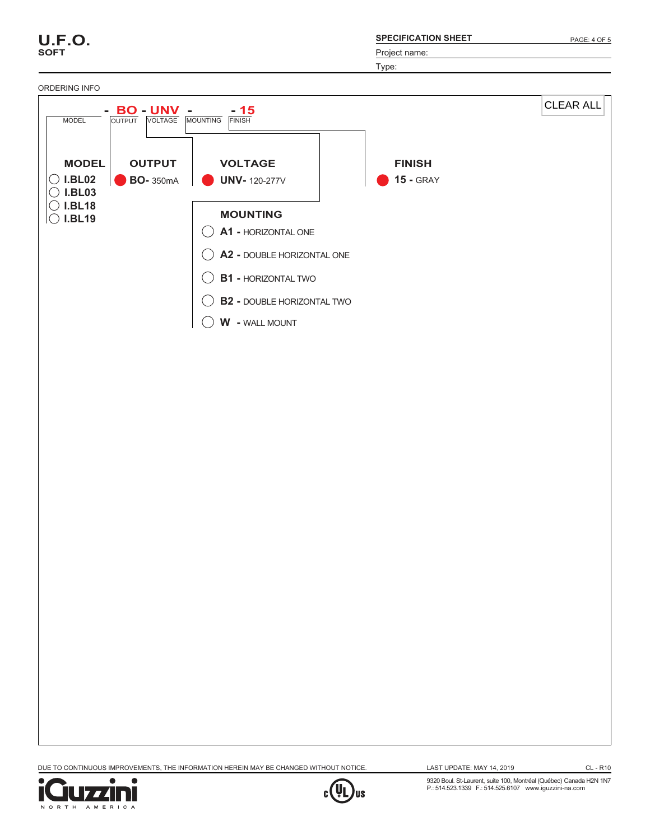| <b>SPECIFICATION SHEET</b> |
|----------------------------|
|----------------------------|

Type:



DUE TO CONTINUOUS IMPROVEMENTS, THE INFORMATION HEREIN MAY BE CHANGED WITHOUT NOTICE.



**U.F.O. SOFT**

LAST UPDATE: MAY 14, 2019

CL - R10